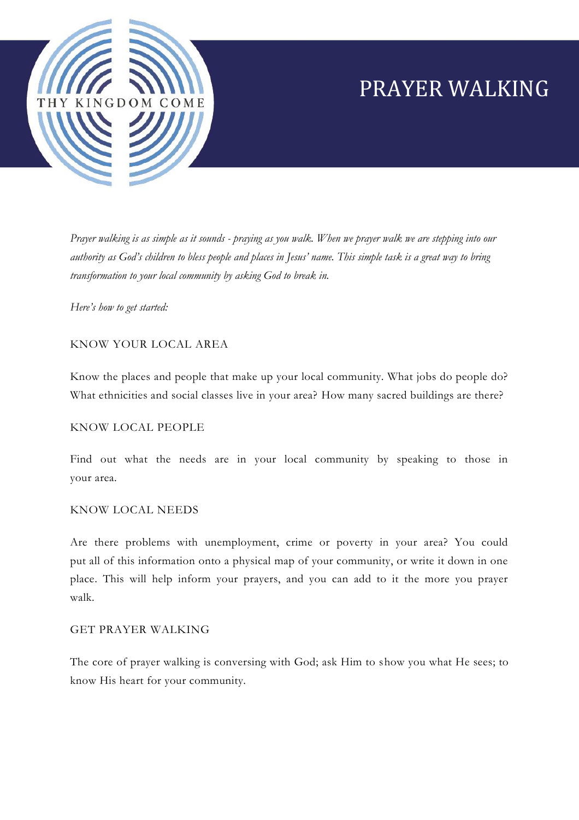

# PRAYER WALKING

*Prayer walking is as simple as it sounds - praying as you walk. When we prayer walk we are stepping into our authority as God's children to bless people and places in Jesus' name. This simple task is a great way to bring transformation to your local community by asking God to break in.*

*Here's how to get started:*

## KNOW YOUR LOCAL AREA

Know the places and people that make up your local community. What jobs do people do? What ethnicities and social classes live in your area? How many sacred buildings are there?

### KNOW LOCAL PEOPLE

Find out what the needs are in your local community by speaking to those in your area.

### KNOW LOCAL NEEDS

Are there problems with unemployment, crime or poverty in your area? You could put all of this information onto a physical map of your community, or write it down in one place. This will help inform your prayers, and you can add to it the more you prayer walk.

### GET PRAYER WALKING

The core of prayer walking is conversing with God; ask Him to show you what He sees; to know His heart for your community.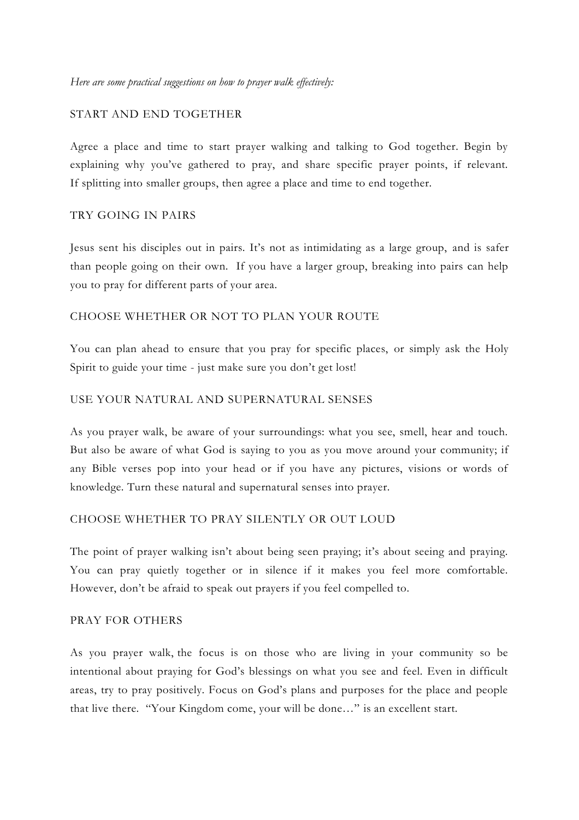## START AND END TOGETHER

Agree a place and time to start prayer walking and talking to God together. Begin by explaining why you've gathered to pray, and share specific prayer points, if relevant. If splitting into smaller groups, then agree a place and time to end together.

## TRY GOING IN PAIRS

Jesus sent his disciples out in pairs. It's not as intimidating as a large group, and is safer than people going on their own. If you have a larger group, breaking into pairs can help you to pray for different parts of your area.

## CHOOSE WHETHER OR NOT TO PLAN YOUR ROUTE

You can plan ahead to ensure that you pray for specific places, or simply ask the Holy Spirit to guide your time - just make sure you don't get lost!

## USE YOUR NATURAL AND SUPERNATURAL SENSES

As you prayer walk, be aware of your surroundings: what you see, smell, hear and touch. But also be aware of what God is saying to you as you move around your community; if any Bible verses pop into your head or if you have any pictures, visions or words of knowledge. Turn these natural and supernatural senses into prayer.

## CHOOSE WHETHER TO PRAY SILENTLY OR OUT LOUD

The point of prayer walking isn't about being seen praying; it's about seeing and praying. You can pray quietly together or in silence if it makes you feel more comfortable. However, don't be afraid to speak out prayers if you feel compelled to.

### PRAY FOR OTHERS

As you prayer walk, the focus is on those who are living in your community so be intentional about praying for God's blessings on what you see and feel. Even in difficult areas, try to pray positively. Focus on God's plans and purposes for the place and people that live there. "Your Kingdom come, your will be done…" is an excellent start.